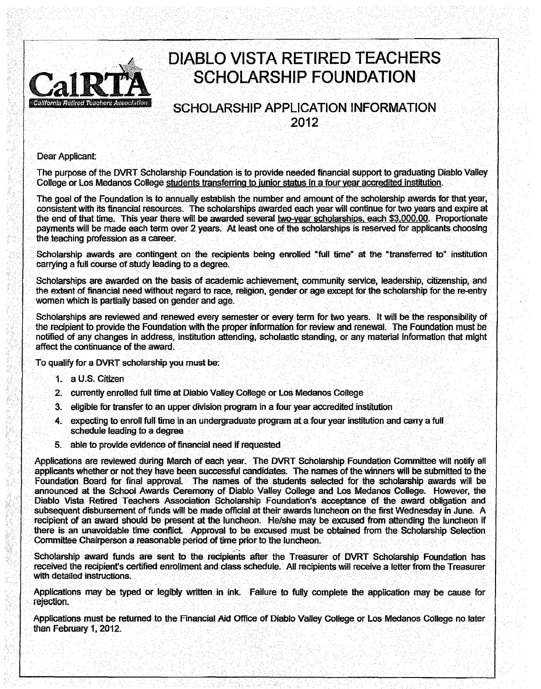

# **DIABLO VISTA RETIRED TEACHERS SCHOLARSHIP FOUNDATION**

## SCHOLARSHIP APPLICATION INFORMATION 2012

Dear Applicant:

The purpose of the DVRT Scholarship Foundation is to provide needed financial support to graduating Diablo Valley College or Los Medanos College students transferring to junior status in a four year accredited institution.

The goal of the Foundation is to annually establish the number and amount of the scholarship awards for that year, consistent with its financial resources. The scholarships awarded each year will continue for two years and expire at the end of that time. This year there will be awarded several two-year scholarships. each \$3.000.00. Proportionate payments will be made each term over 2 years. At least one of the scholarships is reserved for applicants choosing the teaching profession as a career.

Scholarship awards are contingent on the recipients being enrolled "full time" at the "transferred to" institution carrying a full course of study leading to a degree.

Scholarships are awarded on the basis of academic achievement, community service. leadership. citizenship, and the extent of financial need without regard to race, religion, gender or age except for the scholarship for the re-entry women which is partially based on gender and age.

Scholarships are reviewed and renewed every semester or every term for two years. It will be the responsibility of the recipient to provide the Foundation with the proper information for review and renewal. The Foundation must be notified of any changes in address, institution attending, scholastic standing. or any material information that might affect the continuance of the award.

To qualify for a DVRT scholarship you must be:

- 1. a U.S. Citizen
- 2. currently enrolled full time at Diablo Valley College or Los Medanos College
- 3. eligible for transfer to an upper division program in a four year accredited institution
- 4. expecting to enroll full time in an undergraduate program at a four year institution and carry a full schedule leading to a degree
- 5. able to provide evidence of financial need if requested

Applications are reviewed during March of each year. The DVRT Scholarship Foundation Committee will notify all applicants whether or not they have been successful candidates. The names of the winners will· be submitted to the Foundation Board for final approval. The names of the students selected for the scholarship awards will be announced at the School Awards Ceremony of Diablo VaUey College and Los Medanos College. However, the Diablo Vista Retired Teachers Association. Scholarship Foundation's acceptance of the award obligation and subsequent disbursement of funds wilt be made official at their awards luncheon on the first Wednesday in June. A recipient of an award should be present at the luncheon. He/she may be excused from attending the luncheon if there is an unavoidable time conflict Approval to be excused must be obtained from the Scholarship Selection Committee Chairperson a reasonable period of time prior to the luncheon.

Scholarship award funds are sent to the recipients after the Treasurer of DVRT Scholarship Foundation has receiVed the recipient's certified enrollment and class schedule. All recipients will receive a letter from the Treasurer with detailed instructions.

Applications may be typed or legibly written in ink. Failure to fully complete the application may be cause for rejection.

Applications must be returned to the Financial Aid Office of Diablo Valley College or Los Medanas College no later than February 1, 2012.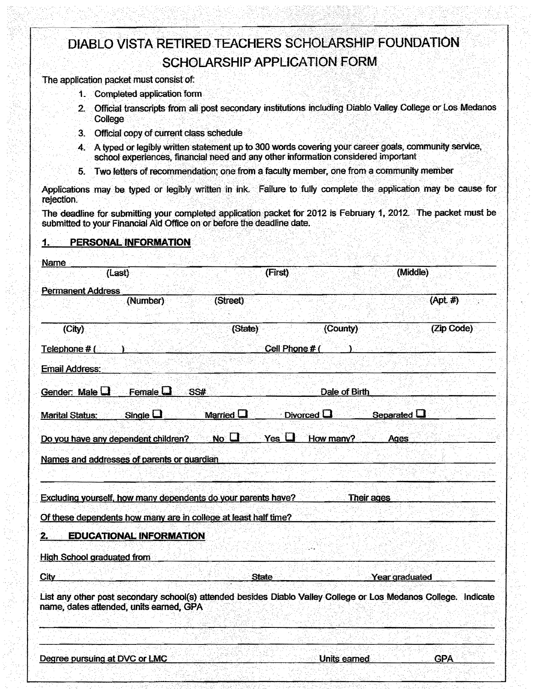# DIABLO VISTA RETIRED TEACHERS SCHOLARSHIP FOUNDATION **SCHOLARSHIP APPLICATION FORM**

The application packet must consist of:

- 1. Completed application form
- 2. Official transcripts from all post secondary institutions including Diablo Valley College or Los Medanos College
- 3. Official copy of current class schedule
- 4. A typed or legibly written statement up to 300 words covering your career goals, community service, school experiences, financial need and any other information considered important
- 5. Two letters of recommendation; one from a faculty member, one from a community member

Applications may be typed or legibly written in ink. Failure to fully complete the application may be cause for rejection.

The deadline for submitting your completed application packet for 2012 is February 1, 2012. The packet must be submitted to your Financial Aid Office on or before the deadline date.

#### PERSONAL INFORMATION

1.

| <b>Name</b>                                                                                                                                                |                                                                        |                                                                                                                                                                                                                                    |                                                   |
|------------------------------------------------------------------------------------------------------------------------------------------------------------|------------------------------------------------------------------------|------------------------------------------------------------------------------------------------------------------------------------------------------------------------------------------------------------------------------------|---------------------------------------------------|
| (Last)                                                                                                                                                     | (First)                                                                |                                                                                                                                                                                                                                    | (Middle)                                          |
| <b>Permanent Address</b>                                                                                                                                   |                                                                        |                                                                                                                                                                                                                                    |                                                   |
| (Number)                                                                                                                                                   | (Street)                                                               |                                                                                                                                                                                                                                    | $(Apt \#)$                                        |
| (City)                                                                                                                                                     | (State)                                                                | (County)                                                                                                                                                                                                                           | (Zip Code)                                        |
| Telephone $#$ (                                                                                                                                            | <u>ana ang kalikiti</u>                                                | Cell Phone # (                                                                                                                                                                                                                     | ith Stick (1999) And <u>Pol</u> on ( <u>Polon</u> |
| <b>Email Address:</b>                                                                                                                                      | 지 못 생활 때는 많이 보는 모든 사세요.                                                |                                                                                                                                                                                                                                    |                                                   |
| Gender: Male $\Box$ Female $\Box$                                                                                                                          | <b>ASS# Additional Control of Dale of Birth</b> and Add <u>itional</u> |                                                                                                                                                                                                                                    |                                                   |
| Single $\square$<br><b>Marital Status:</b>                                                                                                                 | Married $\Box$<br>và.                                                  | Divorced <b>Q Contract Contract Contract Contract Contract Contract Contract Contract Contract Contract Contract Contract Contract Contract Contract Contract Contract Contract Contract Contract Contract Contract Contract C</b> | Separated $\Box$                                  |
| Do you have any dependent children?                                                                                                                        | N <sub>0</sub><br>$Yes \Box$                                           | How many?                                                                                                                                                                                                                          | Ages                                              |
| Names and addresses of parents or quardian                                                                                                                 |                                                                        | 그 동료를 가지 않은 나에 지자로 맞는                                                                                                                                                                                                              |                                                   |
|                                                                                                                                                            |                                                                        |                                                                                                                                                                                                                                    |                                                   |
| <b>Excluding yourself, how many dependents do your parents have? Their ages Finally Containers</b>                                                         |                                                                        |                                                                                                                                                                                                                                    |                                                   |
| Of these dependents how many are in college at least half time?                                                                                            |                                                                        |                                                                                                                                                                                                                                    | 남자 그들의                                            |
| <b>EDUCATIONAL INFORMATION</b>                                                                                                                             |                                                                        |                                                                                                                                                                                                                                    |                                                   |
| <b>High School graduated from</b>                                                                                                                          | 321 : 200 <u>1 : 2002 2011 12: 1</u>                                   |                                                                                                                                                                                                                                    |                                                   |
| $\mathbf{City}$                                                                                                                                            | <u>hat the new Person for Persons of State and S</u>                   |                                                                                                                                                                                                                                    | <b>Examine Year graduated</b>                     |
| List any other post secondary school(s) attended besides Diablo Valley College or Los Medanos College. Indicate<br>name, dates attended, units earned, GPA |                                                                        |                                                                                                                                                                                                                                    |                                                   |
|                                                                                                                                                            |                                                                        |                                                                                                                                                                                                                                    |                                                   |
|                                                                                                                                                            |                                                                        | Units earned                                                                                                                                                                                                                       | <b>GPA</b>                                        |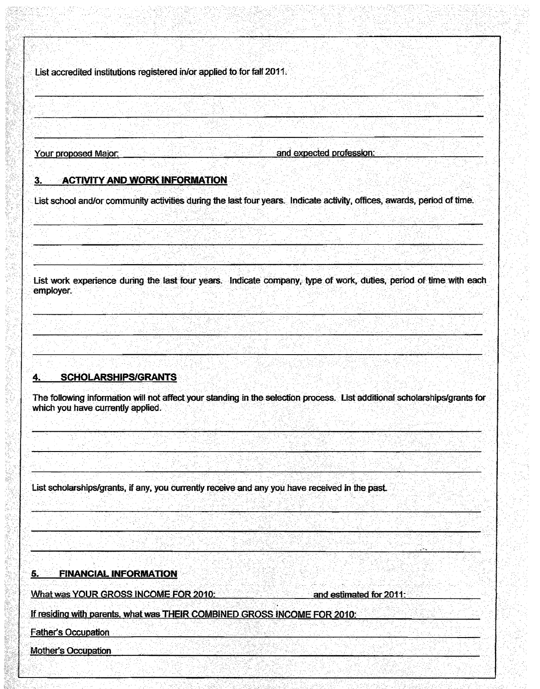List accredited institutions registered in/or applied to for fall 2011.

Your proposed Major:

#### 3. ACTIVITY AND WORK INFORMATION

List school and/or community activities during the last four years. Indicate activity, offices, awards, period of time.

List work experience during the last four years. Indicate company, type of work, duties, period of time with each employer.

#### **SCHOLARSHIPS/GRANTS** 4.

The following information will not affect your standing in the selection process. List additional scholarships/grants for which you have currently applied.

List scholarships/grants, if any, you currently receive and any you have received in the past.

**FINANCIAL INFORMATION** 5.

What was YOUR GROSS INCOME FOR 2010:

**Example 2014 and estimated for 2011** 

If residing with parents, what was THEIR COMBINED GROSS INCOME FOR 2010:

**Father's Occupation** 

Mother's Occupation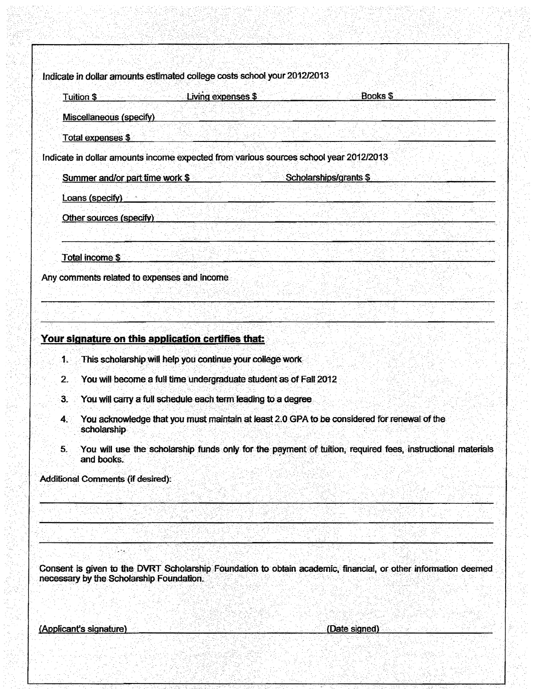Indicate in dollar amounts estimated college costs school your 2012/2013

| Tuition \$ 2000 Medical Control                                                      | Living expenses \$                              | <b>Books \$</b><br>TI, Situa (Agricult |  |
|--------------------------------------------------------------------------------------|-------------------------------------------------|----------------------------------------|--|
| Miscellaneous (specify)                                                              |                                                 |                                        |  |
| Total expenses \$                                                                    | 5. 오늘 [ 마차] 사람과 같은 X에 [ 마람 가만]                  | of anticomments.                       |  |
| ndicate in dollar amounts income expected from various sources school year 2012/2013 |                                                 |                                        |  |
| Summer and/or part time work \$                                                      | 문교 작세                                           | Scholarships/grants \$                 |  |
| Loans (specify) <b>Example 2</b>                                                     | 4) 2 <i>4)의 2012년 12월 12일 - 12월 12일</i> 12월 12일 |                                        |  |
| Other sources (specify)                                                              |                                                 |                                        |  |
|                                                                                      |                                                 |                                        |  |
| Total income \$                                                                      |                                                 |                                        |  |
| Any comments related to expenses and income                                          |                                                 |                                        |  |
|                                                                                      |                                                 |                                        |  |
|                                                                                      |                                                 |                                        |  |
|                                                                                      |                                                 |                                        |  |

### Your signature on this application certifies that:

- $1.$ This scholarship will help you continue your college work
- $\overline{2}$ . You will become a full time undergraduate student as of Fall 2012
- $\ddot{\mathbf{3}}$ . You will carry a full schedule each term leading to a degree
- $4.1$ You acknowledge that you must maintain at least 2.0 GPA to be considered for renewal of the scholarship
- You will use the scholarship funds only for the payment of tuition, required fees, instructional materials  $5.$ and books.

**Additional Comments (if desired):** 

Consent is given to the DVRT Scholarship Foundation to obtain academic, financial, or other information deemed necessary by the Scholarship Foundation.

(Applicant's signature)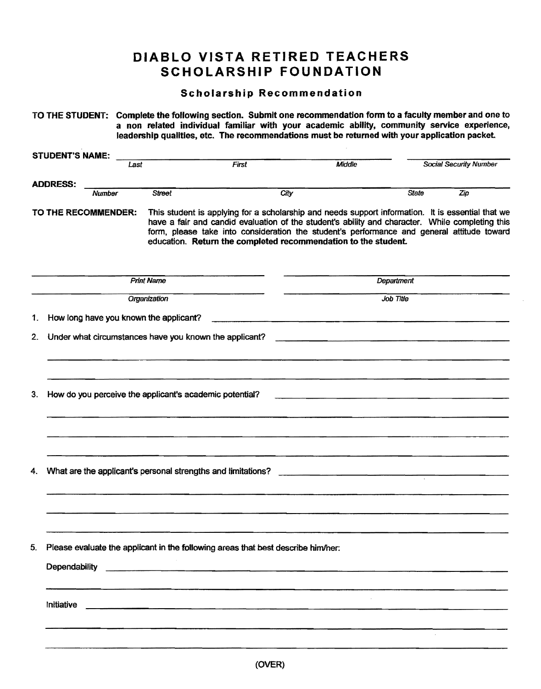# **DIABLO VISTA RETIRED TEACHERS SCHOLARSHIP FOUNDATION**

### Scholarship Recommendation

|    |                        |        |      |                                        | leadership qualities, etc. The recommendations must be returned with your application packet.                                                                                                                                      |      |        |            | TO THE STUDENT: Complete the following section. Submit one recommendation form to a faculty member and one to<br>a non related individual familiar with your academic ability, community service experience,                                                                                       |
|----|------------------------|--------|------|----------------------------------------|------------------------------------------------------------------------------------------------------------------------------------------------------------------------------------------------------------------------------------|------|--------|------------|----------------------------------------------------------------------------------------------------------------------------------------------------------------------------------------------------------------------------------------------------------------------------------------------------|
|    | <b>STUDENT'S NAME:</b> |        | Last |                                        | First                                                                                                                                                                                                                              |      | Middle |            | <b>Social Security Number</b>                                                                                                                                                                                                                                                                      |
|    | <b>ADDRESS:</b>        |        |      |                                        |                                                                                                                                                                                                                                    |      |        |            |                                                                                                                                                                                                                                                                                                    |
|    |                        | Number |      | <b>Street</b>                          |                                                                                                                                                                                                                                    | City |        | State      | Zip                                                                                                                                                                                                                                                                                                |
|    | TO THE RECOMMENDER:    |        |      |                                        | education. Return the completed recommendation to the student.                                                                                                                                                                     |      |        |            | This student is applying for a scholarship and needs support information. It is essential that we<br>have a fair and candid evaluation of the student's ability and character. While completing this<br>form, please take into consideration the student's performance and general attitude toward |
|    |                        |        |      | <b>Print Name</b>                      |                                                                                                                                                                                                                                    |      |        | Department |                                                                                                                                                                                                                                                                                                    |
|    |                        |        |      | Organization                           |                                                                                                                                                                                                                                    |      |        | Job Title  |                                                                                                                                                                                                                                                                                                    |
| 1. |                        |        |      | How long have you known the applicant? |                                                                                                                                                                                                                                    |      |        |            |                                                                                                                                                                                                                                                                                                    |
| 2. |                        |        |      |                                        | Under what circumstances have you known the applicant?                                                                                                                                                                             |      |        |            |                                                                                                                                                                                                                                                                                                    |
| 3. |                        |        |      |                                        | How do you perceive the applicant's academic potential?                                                                                                                                                                            |      |        |            |                                                                                                                                                                                                                                                                                                    |
| 4. |                        |        |      |                                        | What are the applicant's personal strengths and limitations?                                                                                                                                                                       |      |        |            |                                                                                                                                                                                                                                                                                                    |
|    |                        |        |      |                                        |                                                                                                                                                                                                                                    |      |        |            |                                                                                                                                                                                                                                                                                                    |
| 5. | Dependability          |        |      |                                        | Please evaluate the applicant in the following areas that best describe him/her:                                                                                                                                                   |      |        |            |                                                                                                                                                                                                                                                                                                    |
|    | Initiative             |        |      |                                        | <u>state</u> and the control of the control of the control of the control of the control of the control of the control of the control of the control of the control of the control of the control of the control of the control of |      |        |            |                                                                                                                                                                                                                                                                                                    |
|    |                        |        |      |                                        |                                                                                                                                                                                                                                    |      |        |            |                                                                                                                                                                                                                                                                                                    |